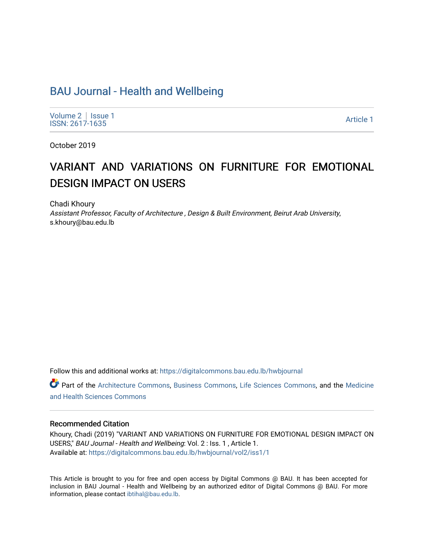# [BAU Journal - Health and Wellbeing](https://digitalcommons.bau.edu.lb/hwbjournal)

[Volume 2](https://digitalcommons.bau.edu.lb/hwbjournal/vol2) | Issue 1 Political Pressure in the Second Second Second Second Second Second Second Second Second Second Second Second Second Second Second Second Second Second Second Second Second Second Second Second Second Second Second Second

October 2019

# VARIANT AND VARIATIONS ON FURNITURE FOR EMOTIONAL DESIGN IMPACT ON USERS

Chadi Khoury

Assistant Professor, Faculty of Architecture , Design & Built Environment, Beirut Arab University, s.khoury@bau.edu.lb

Follow this and additional works at: [https://digitalcommons.bau.edu.lb/hwbjournal](https://digitalcommons.bau.edu.lb/hwbjournal?utm_source=digitalcommons.bau.edu.lb%2Fhwbjournal%2Fvol2%2Fiss1%2F1&utm_medium=PDF&utm_campaign=PDFCoverPages)

Part of the [Architecture Commons](http://network.bepress.com/hgg/discipline/773?utm_source=digitalcommons.bau.edu.lb%2Fhwbjournal%2Fvol2%2Fiss1%2F1&utm_medium=PDF&utm_campaign=PDFCoverPages), [Business Commons,](http://network.bepress.com/hgg/discipline/622?utm_source=digitalcommons.bau.edu.lb%2Fhwbjournal%2Fvol2%2Fiss1%2F1&utm_medium=PDF&utm_campaign=PDFCoverPages) [Life Sciences Commons](http://network.bepress.com/hgg/discipline/1016?utm_source=digitalcommons.bau.edu.lb%2Fhwbjournal%2Fvol2%2Fiss1%2F1&utm_medium=PDF&utm_campaign=PDFCoverPages), and the [Medicine](http://network.bepress.com/hgg/discipline/648?utm_source=digitalcommons.bau.edu.lb%2Fhwbjournal%2Fvol2%2Fiss1%2F1&utm_medium=PDF&utm_campaign=PDFCoverPages)  [and Health Sciences Commons](http://network.bepress.com/hgg/discipline/648?utm_source=digitalcommons.bau.edu.lb%2Fhwbjournal%2Fvol2%2Fiss1%2F1&utm_medium=PDF&utm_campaign=PDFCoverPages)

#### Recommended Citation

Khoury, Chadi (2019) "VARIANT AND VARIATIONS ON FURNITURE FOR EMOTIONAL DESIGN IMPACT ON USERS," BAU Journal - Health and Wellbeing: Vol. 2 : Iss. 1 , Article 1. Available at: [https://digitalcommons.bau.edu.lb/hwbjournal/vol2/iss1/1](https://digitalcommons.bau.edu.lb/hwbjournal/vol2/iss1/1?utm_source=digitalcommons.bau.edu.lb%2Fhwbjournal%2Fvol2%2Fiss1%2F1&utm_medium=PDF&utm_campaign=PDFCoverPages) 

This Article is brought to you for free and open access by Digital Commons @ BAU. It has been accepted for inclusion in BAU Journal - Health and Wellbeing by an authorized editor of Digital Commons @ BAU. For more information, please contact [ibtihal@bau.edu.lb.](mailto:ibtihal@bau.edu.lb)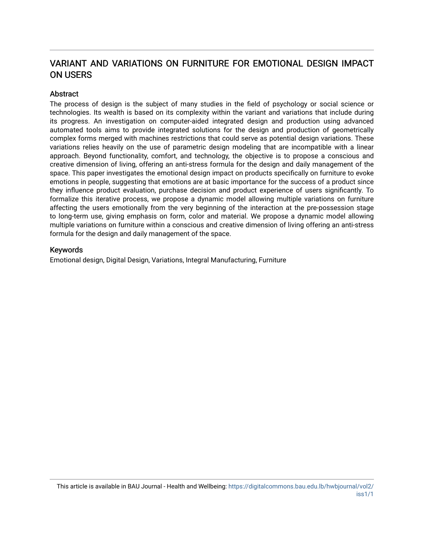# VARIANT AND VARIATIONS ON FURNITURE FOR EMOTIONAL DESIGN IMPACT ON USERS

## **Abstract**

The process of design is the subject of many studies in the field of psychology or social science or technologies. Its wealth is based on its complexity within the variant and variations that include during its progress. An investigation on computer-aided integrated design and production using advanced automated tools aims to provide integrated solutions for the design and production of geometrically complex forms merged with machines restrictions that could serve as potential design variations. These variations relies heavily on the use of parametric design modeling that are incompatible with a linear approach. Beyond functionality, comfort, and technology, the objective is to propose a conscious and creative dimension of living, offering an anti-stress formula for the design and daily management of the space. This paper investigates the emotional design impact on products specifically on furniture to evoke emotions in people, suggesting that emotions are at basic importance for the success of a product since they influence product evaluation, purchase decision and product experience of users significantly. To formalize this iterative process, we propose a dynamic model allowing multiple variations on furniture affecting the users emotionally from the very beginning of the interaction at the pre-possession stage to long-term use, giving emphasis on form, color and material. We propose a dynamic model allowing multiple variations on furniture within a conscious and creative dimension of living offering an anti-stress formula for the design and daily management of the space.

#### Keywords

Emotional design, Digital Design, Variations, Integral Manufacturing, Furniture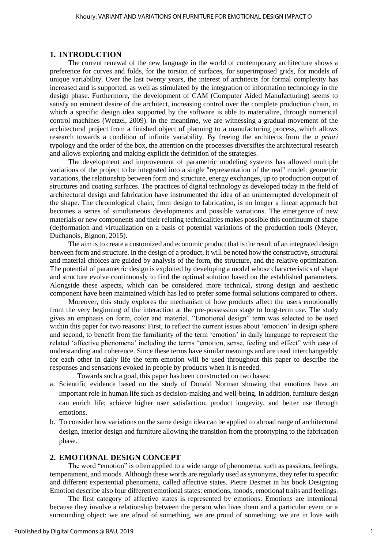#### **1. INTRODUCTION**

The current renewal of the new language in the world of contemporary architecture shows a preference for curves and folds, for the torsion of surfaces, for superimposed grids, for models of unique variability. Over the last twenty years, the interest of architects for formal complexity has increased and is supported, as well as stimulated by the integration of information technology in the design phase. Furthermore, the development of CAM (Computer Aided Manufacturing) seems to satisfy an eminent desire of the architect, increasing control over the complete production chain, in which a specific design idea supported by the software is able to materialize, through numerical control machines (Wetzel, 2009). In the meantime, we are witnessing a gradual movement of the architectural project from a finished object of planning to a manufacturing process, which allows research towards a condition of infinite variability. By freeing the architects from the *a priori* typology and the order of the box, the attention on the processes diversifies the architectural research and allows exploring and making explicit the definition of the strategies.

The development and improvement of parametric modeling systems has allowed multiple variations of the project to be integrated into a single "representation of the real" model: geometric variations, the relationship between form and structure, energy exchanges, up to production output of structures and coating surfaces. The practices of digital technology as developed today in the field of architectural design and fabrication have instrumented the idea of an uninterrupted development of the shape. The chronological chain, from design to fabrication, is no longer a linear approach but becomes a series of simultaneous developments and possible variations. The emergence of new materials or new components and their relating technicalities makes possible this continuum of shape (de)formation and virtualization on a basis of potential variations of the production tools (Meyer, Duchanois, Bignon, 2015).

The aim is to create a customized and economic product that is the result of an integrated design between form and structure. In the design of a product, it will be noted how the constructive, structural and material choices are guided by analysis of the form, the structure, and the relative optimization. The potential of parametric design is exploited by developing a model whose characteristics of shape and structure evolve continuously to find the optimal solution based on the established parameters. Alongside these aspects, which can be considered more technical, strong design and aesthetic component have been maintained which has led to prefer some formal solutions compared to others.

Moreover, this study explores the mechanism of how products affect the users emotionally from the very beginning of the interaction at the pre-possession stage to long-term use. The study gives an emphasis on form, color and material. "Emotional design" term was selected to be used within this paper for two reasons: First, to reflect the current issues about 'emotion' in design sphere and second, to benefit from the familiarity of the term 'emotion' in daily language to represent the related 'affective phenomena' including the terms "emotion, sense, feeling and effect" with ease of understanding and coherence. Since these terms have similar meanings and are used interchangeably for each other in daily life the term emotion will be used throughout this paper to describe the responses and sensations evoked in people by products when it is needed.

Towards such a goal, this paper has been constructed on two bases:

- a. Scientific evidence based on the study of Donald Norman showing that emotions have an important role in human life such as decision-making and well-being. In addition, furniture design can enrich life; achieve higher user satisfaction, product longevity, and better use through emotions.
- b. To consider how variations on the same design idea can be applied to abroad range of architectural design, interior design and furniture allowing the transition from the prototyping to the fabrication phase.

#### **2. EMOTIONAL DESIGN CONCEPT**

The word "emotion" is often applied to a wide range of phenomena, such as passions, feelings, temperament, and moods. Although these words are regularly used as synonyms, they refer to specific and different experiential phenomena, called affective states. Pietre Desmet in his book Designing Emotion describe also four different emotional states: emotions, moods, emotional traits and feelings.

The first category of affective states is represented by emotions. Emotions are intentional because they involve a relationship between the person who lives them and a particular event or a surrounding object: we are afraid of something, we are proud of something; we are in love with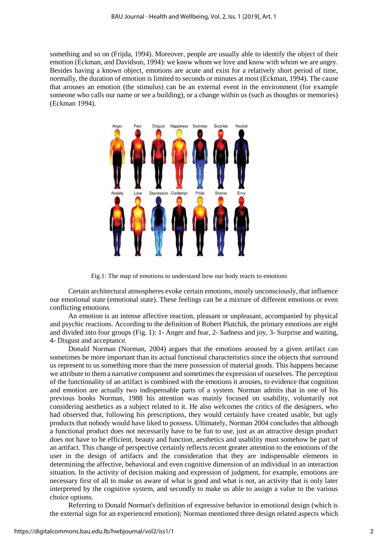something and so on (Frijda, 1994). Moreover, people are usually able to identify the object of their emotion (Eckman, and Davidson, 1994): we know whom we love and know with whom we are angry. Besides having a known object, emotions are acute and exist for a relatively short period of time, normally, the duration of emotion is limited to seconds or minutes at most (Eckman, 1994). The cause that arouses an emotion (the stimulus) can be an external event in the environment (for example someone who calls our name or see a building), or a change within us (such as thoughts or memories) (Eckman 1994).



Fig.1: The map of emotions to understand how our body reacts to emotions

Certain architectural atmospheres evoke certain emotions, mostly unconsciously, that influence our emotional state (emotional state). These feelings can be a mixture of different emotions or even conflicting emotions.

An emotion is an intense affective reaction, pleasant or unpleasant, accompanied by physical and psychic reactions. According to the definition of Robert Plutchik, the primary emotions are eight and divided into four groups (Fig. 1): 1- Anger and fear, 2- Sadness and joy, 3- Surprise and waiting, 4- Disgust and acceptance.

Donald Norman (Norman, 2004) argues that the emotions aroused by a given artifact can sometimes be more important than its actual functional characteristics since the objects that surround us represent to us something more than the mere possession of material goods. This happens because we attribute to them a narrative component and sometimes the expression of ourselves. The perception of the functionality of an artifact is combined with the emotions it arouses, to evidence that cognition and emotion are actually two indispensable parts of a system. Norman admits that in one of his previous books Norman, 1988 his attention was mainly focused on usability, voluntarily not considering aesthetics as a subject related to it. He also welcomes the critics of the designers, who had observed that, following his prescriptions, they would certainly have created usable, but ugly products that nobody would have liked to possess. Ultimately, Norman 2004 concludes that although a functional product does not necessarily have to be fun to use, just as an attractive design product does not have to be efficient, beauty and function, aesthetics and usability must somehow be part of an artifact. This change of perspective certainly reflects recent greater attention to the emotions of the user in the design of artifacts and the consideration that they are indispensable elements in determining the affective, behavioral and even cognitive dimension of an individual in an interaction situation. In the activity of decision making and expression of judgment, for example, emotions are necessary first of all to make us aware of what is good and what is not, an activity that is only later interpreted by the cognitive system, and secondly to make us able to assign a value to the various choice options.

Referring to Donald Norman's definition of expressive behavior in emotional design (which is the external sign for an experienced emotion); Norman mentioned three design related aspects which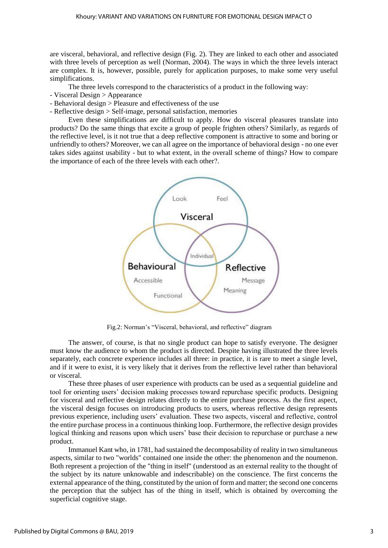are visceral, behavioral, and reflective design (Fig. 2). They are linked to each other and associated with three levels of perception as well (Norman, 2004). The ways in which the three levels interact are complex. It is, however, possible, purely for application purposes, to make some very useful simplifications.

The three levels correspond to the characteristics of a product in the following way:

- Visceral Design > Appearance
- Behavioral design > Pleasure and effectiveness of the use
- Reflective design > Self-image, personal satisfaction, memories

Even these simplifications are difficult to apply. How do visceral pleasures translate into products? Do the same things that excite a group of people frighten others? Similarly, as regards of the reflective level, is it not true that a deep reflective component is attractive to some and boring or unfriendly to others? Moreover, we can all agree on the importance of behavioral design - no one ever takes sides against usability - but to what extent, in the overall scheme of things? How to compare the importance of each of the three levels with each other?.



Fig.2: Norman's "Visceral, behavioral, and reflective" diagram

The answer, of course, is that no single product can hope to satisfy everyone. The designer must know the audience to whom the product is directed. Despite having illustrated the three levels separately, each concrete experience includes all three: in practice, it is rare to meet a single level, and if it were to exist, it is very likely that it derives from the reflective level rather than behavioral or visceral.

These three phases of user experience with products can be used as a sequential guideline and tool for orienting users' decision making processes toward repurchase specific products. Designing for visceral and reflective design relates directly to the entire purchase process. As the first aspect, the visceral design focuses on introducing products to users, whereas reflective design represents previous experience, including users' evaluation. These two aspects, visceral and reflective, control the entire purchase process in a continuous thinking loop. Furthermore, the reflective design provides logical thinking and reasons upon which users' base their decision to repurchase or purchase a new product.

Immanuel Kant who, in 1781, had sustained the decomposability of reality in two simultaneous aspects, similar to two "worlds" contained one inside the other: the phenomenon and the noumenon. Both represent a projection of the "thing in itself" (understood as an external reality to the thought of the subject by its nature unknowable and indescribable) on the conscience. The first concerns the external appearance of the thing, constituted by the union of form and matter; the second one concerns the perception that the subject has of the thing in itself, which is obtained by overcoming the superficial cognitive stage.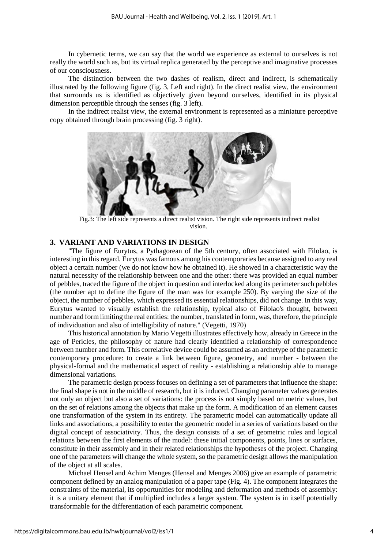In cybernetic terms, we can say that the world we experience as external to ourselves is not really the world such as, but its virtual replica generated by the perceptive and imaginative processes of our consciousness.

The distinction between the two dashes of realism, direct and indirect, is schematically illustrated by the following figure (fig. 3, Left and right). In the direct realist view, the environment that surrounds us is identified as objectively given beyond ourselves, identified in its physical dimension perceptible through the senses (fig. 3 left).

In the indirect realist view, the external environment is represented as a miniature perceptive copy obtained through brain processing (fig. 3 right).



 Fig.3: The left side represents a direct realist vision. The right side represents indirect realist vision.

#### **3. VARIANT AND VARIATIONS IN DESIGN**

"The figure of Eurytus, a Pythagorean of the 5th century, often associated with Filolao, is interesting in this regard. Eurytus was famous among his contemporaries because assigned to any real object a certain number (we do not know how he obtained it). He showed in a characteristic way the natural necessity of the relationship between one and the other: there was provided an equal number of pebbles, traced the figure of the object in question and interlocked along its perimeter such pebbles (the number apt to define the figure of the man was for example 250). By varying the size of the object, the number of pebbles, which expressed its essential relationships, did not change. In this way, Eurytus wanted to visually establish the relationship, typical also of Filolao's thought, between number and form limiting the real entities: the number, translated in form, was, therefore, the principle of individuation and also of intelligibility of nature." (Vegetti, 1970)

This historical annotation by Mario Vegetti illustrates effectively how, already in Greece in the age of Pericles, the philosophy of nature had clearly identified a relationship of correspondence between number and form. This correlative device could be assumed as an archetype of the parametric contemporary procedure: to create a link between figure, geometry, and number - between the physical-formal and the mathematical aspect of reality - establishing a relationship able to manage dimensional variations.

The parametric design process focuses on defining a set of parameters that influence the shape: the final shape is not in the middle of research, but it is induced. Changing parameter values generates not only an object but also a set of variations: the process is not simply based on metric values, but on the set of relations among the objects that make up the form. A modification of an element causes one transformation of the system in its entirety. The parametric model can automatically update all links and associations, a possibility to enter the geometric model in a series of variations based on the digital concept of associativity. Thus, the design consists of a set of geometric rules and logical relations between the first elements of the model: these initial components, points, lines or surfaces, constitute in their assembly and in their related relationships the hypotheses of the project. Changing one of the parameters will change the whole system, so the parametric design allows the manipulation of the object at all scales.

Michael Hensel and Achim Menges (Hensel and Menges 2006) give an example of parametric component defined by an analog manipulation of a paper tape (Fig. 4). The component integrates the constraints of the material, its opportunities for modeling and deformation and methods of assembly: it is a unitary element that if multiplied includes a larger system. The system is in itself potentially transformable for the differentiation of each parametric component.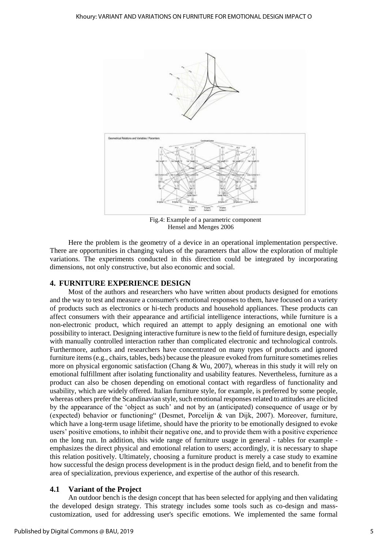

Fig.4: Example of a parametric component Hensel and Menges 2006

Here the problem is the geometry of a device in an operational implementation perspective. There are opportunities in changing values of the parameters that allow the exploration of multiple variations. The experiments conducted in this direction could be integrated by incorporating dimensions, not only constructive, but also economic and social.

#### **4. FURNITURE EXPERIENCE DESIGN**

Most of the authors and researchers who have written about products designed for emotions and the way to test and measure a consumer's emotional responses to them, have focused on a variety of products such as electronics or hi-tech products and household appliances. These products can affect consumers with their appearance and artificial intelligence interactions, while furniture is a non-electronic product, which required an attempt to apply designing an emotional one with possibility to interact. Designing interactive furniture is new to the field of furniture design, especially with manually controlled interaction rather than complicated electronic and technological controls. Furthermore, authors and researchers have concentrated on many types of products and ignored furniture items (e.g., chairs, tables, beds) because the pleasure evoked from furniture sometimes relies more on physical ergonomic satisfaction (Chang & Wu, 2007), whereas in this study it will rely on emotional fulfillment after isolating functionality and usability features. Nevertheless, furniture as a product can also be chosen depending on emotional contact with regardless of functionality and usability, which are widely offered. Italian furniture style, for example, is preferred by some people, whereas others prefer the Scandinavian style, such emotional responses related to attitudes are elicited by the appearance of the 'object as such' and not by an (anticipated) consequence of usage or by (expected) behavior or functioning" (Desmet, Porcelijn & van Dijk, 2007). Moreover, furniture, which have a long-term usage lifetime, should have the priority to be emotionally designed to evoke users' positive emotions, to inhibit their negative one, and to provide them with a positive experience on the long run. In addition, this wide range of furniture usage in general - tables for example emphasizes the direct physical and emotional relation to users; accordingly, it is necessary to shape this relation positively. Ultimately, choosing a furniture product is merely a case study to examine how successful the design process development is in the product design field, and to benefit from the area of specialization, previous experience, and expertise of the author of this research.

#### **4.1 Variant of the Project**

An outdoor bench is the design concept that has been selected for applying and then validating the developed design strategy. This strategy includes some tools such as co-design and masscustomization, used for addressing user's specific emotions. We implemented the same formal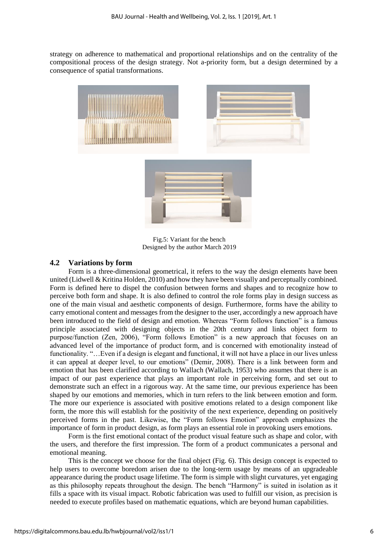strategy on adherence to mathematical and proportional relationships and on the centrality of the compositional process of the design strategy. Not a-priority form, but a design determined by a consequence of spatial transformations.



Fig.5: Variant for the bench Designed by the author March 2019

#### **4.2 Variations by form**

Form is a three-dimensional geometrical, it refers to the way the design elements have been united (Lidwell & Kritina Holden, 2010) and how they have been visually and perceptually combined. Form is defined here to dispel the confusion between forms and shapes and to recognize how to perceive both form and shape. It is also defined to control the role forms play in design success as one of the main visual and aesthetic components of design. Furthermore, forms have the ability to carry emotional content and messages from the designer to the user, accordingly a new approach have been introduced to the field of design and emotion. Whereas "Form follows function" is a famous principle associated with designing objects in the 20th century and links object form to purpose/function (Zen, 2006), "Form follows Emotion" is a new approach that focuses on an advanced level of the importance of product form, and is concerned with emotionality instead of functionality. "…Even if a design is elegant and functional, it will not have a place in our lives unless it can appeal at deeper level, to our emotions" (Demir, 2008). There is a link between form and emotion that has been clarified according to Wallach (Wallach, 1953) who assumes that there is an impact of our past experience that plays an important role in perceiving form, and set out to demonstrate such an effect in a rigorous way. At the same time, our previous experience has been shaped by our emotions and memories, which in turn refers to the link between emotion and form. The more our experience is associated with positive emotions related to a design component like form, the more this will establish for the positivity of the next experience, depending on positively perceived forms in the past. Likewise, the "Form follows Emotion" approach emphasizes the importance of form in product design, as form plays an essential role in provoking users emotions.

Form is the first emotional contact of the product visual feature such as shape and color, with the users, and therefore the first impression. The form of a product communicates a personal and emotional meaning.

This is the concept we choose for the final object (Fig. 6). This design concept is expected to help users to overcome boredom arisen due to the long-term usage by means of an upgradeable appearance during the product usage lifetime. The form is simple with slight curvatures, yet engaging as this philosophy repeats throughout the design. The bench "Harmony" is suited in isolation as it fills a space with its visual impact. Robotic fabrication was used to fulfill our vision, as precision is needed to execute profiles based on mathematic equations, which are beyond human capabilities.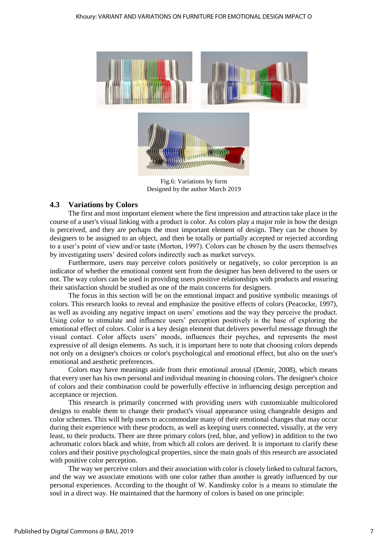

Fig.6: Variations by form Designed by the author March 2019

### **4.3 Variations by Colors**

The first and most important element where the first impression and attraction take place in the course of a user's visual linking with a product is color. As colors play a major role in how the design is perceived, and they are perhaps the most important element of design. They can be chosen by designers to be assigned to an object, and then be totally or partially accepted or rejected according to a user's point of view and/or taste (Morton, 1997). Colors can be chosen by the users themselves by investigating users' desired colors indirectly such as market surveys.

Furthermore, users may perceive colors positively or negatively, so color perception is an indicator of whether the emotional content sent from the designer has been delivered to the users or not. The way colors can be used in providing users positive relationships with products and ensuring their satisfaction should be studied as one of the main concerns for designers.

The focus in this section will be on the emotional impact and positive symbolic meanings of colors. This research looks to reveal and emphasize the positive effects of colors (Peacocke, 1997), as well as avoiding any negative impact on users' emotions and the way they perceive the product. Using color to stimulate and influence users' perception positively is the base of exploring the emotional effect of colors. Color is a key design element that delivers powerful message through the visual contact. Color affects users' moods, influences their psyches, and represents the most expressive of all design elements. As such, it is important here to note that choosing colors depends not only on a designer's choices or color's psychological and emotional effect, but also on the user's emotional and aesthetic preferences.

Colors may have meanings aside from their emotional arousal (Demir, 2008), which means that every user has his own personal and individual meaning in choosing colors. The designer's choice of colors and their combination could be powerfully effective in influencing design perception and acceptance or rejection.

This research is primarily concerned with providing users with customizable multicolored designs to enable them to change their product's visual appearance using changeable designs and color schemes. This will help users to accommodate many of their emotional changes that may occur during their experience with these products, as well as keeping users connected, visually, at the very least, to their products. There are three primary colors (red, blue, and yellow) in addition to the two achromatic colors black and white, from which all colors are derived. It is important to clarify these colors and their positive psychological properties, since the main goals of this research are associated with positive color perception.

The way we perceive colors and their association with color is closely linked to cultural factors, and the way we associate emotions with one color rather than another is greatly influenced by our personal experiences. According to the thought of W. Kandinsky color is a means to stimulate the soul in a direct way. He maintained that the harmony of colors is based on one principle: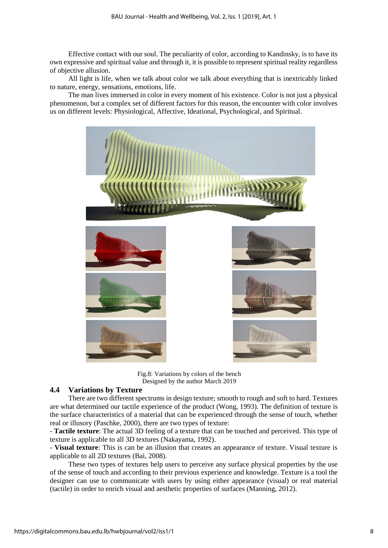Effective contact with our soul. The peculiarity of color, according to Kandinsky, is to have its own expressive and spiritual value and through it, it is possible to represent spiritual reality regardless of objective allusion.

All light is life, when we talk about color we talk about everything that is inextricably linked to nature, energy, sensations, emotions, life.

The man lives immersed in color in every moment of his existence. Color is not just a physical phenomenon, but a complex set of different factors for this reason, the encounter with color involves us on different levels: Physiological, Affective, Ideational, Psychological, and Spiritual.



Fig.8: Variations by colors of the bench Designed by the author March 2019

## **4.4 Variations by Texture**

There are two different spectrums in design texture; smooth to rough and soft to hard. Textures are what determined our tactile experience of the product (Wong, 1993). The definition of texture is the surface characteristics of a material that can be experienced through the sense of touch, whether real or illusory (Paschke, 2000), there are two types of texture:

- **Tactile texture**: The actual 3D feeling of a texture that can be touched and perceived. This type of texture is applicable to all 3D textures (Nakayama, 1992).

- **Visual texture**: This is can be an illusion that creates an appearance of texture. Visual texture is applicable to all 2D textures (Bai, 2008).

These two types of textures help users to perceive any surface physical properties by the use of the sense of touch and according to their previous experience and knowledge. Texture is a tool the designer can use to communicate with users by using either appearance (visual) or real material (tactile) in order to enrich visual and aesthetic properties of surfaces (Manning, 2012).